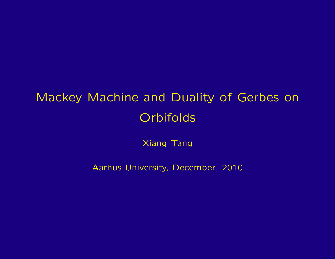# Mackey Machine and Duality of Gerbes on **Orbifolds**

Xiang Tang

<span id="page-0-0"></span>Aarhus University, December, 2010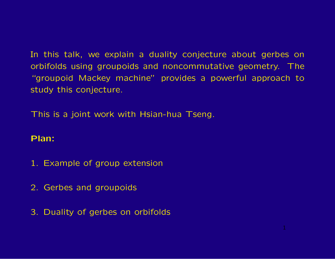In this talk, we explain a duality conjecture about gerbes on orbifolds using groupoids and noncommutative geometry. The "groupoid Mackey machine" provides a powerful approach to study this conjecture.

This is a joint work with Hsian-hua Tseng.

# Plan:

- 1. Example of group extension
- 2. Gerbes and groupoids
- 3. Duality of gerbes on orbifolds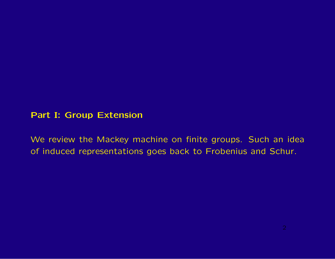# Part I: Group Extension

We review the Mackey machine on finite groups. Such an idea of induced representations goes back to Frobenius and Schur.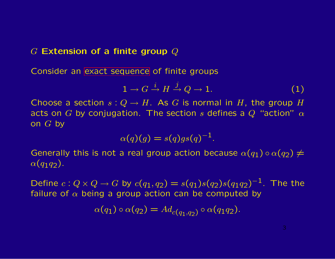# $G$  Extension of a finite group  $Q$

Consider an [exact sequence](#page-12-0) of finite groups

<span id="page-3-0"></span>
$$
1 \to G \xrightarrow{i} H \xrightarrow{j} Q \to 1. \tag{1}
$$

Choose a section  $s: Q \to H$ . As G is normal in H, the group H acts on G by conjugation. The section s defines a  $Q$  "action"  $\alpha$ on  $G$  by

$$
\alpha(q)(g) = s(q)gs(q)^{-1}.
$$

Generally this is not a real group action because  $\alpha(q_1) \circ \alpha(q_2) \neq 0$  $\alpha(q_1q_2)$ .

Define  $c : Q \times Q \to G$  by  $c(q_1, q_2) = s(q_1)s(q_2)s(q_1q_2)^{-1}$ . The the failure of  $\alpha$  being a group action can be computed by

$$
\alpha(q_1) \circ \alpha(q_2) = Ad_{c(q_1,q_2)} \circ \alpha(q_1q_2).
$$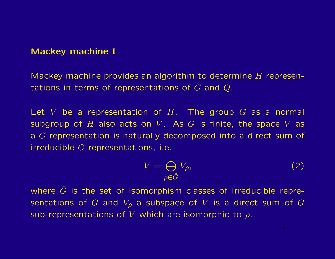#### Mackey machine I

Mackey machine provides an algorithm to determine  $H$  representations in terms of representations of  $G$  and  $Q$ .

Let V be a representation of  $H$ . The group G as a normal subgroup of  $H$  also acts on  $V$ . As  $G$  is finite, the space  $V$  as a G representation is naturally decomposed into a direct sum of irreducible  $G$  representations, i.e.

<span id="page-4-0"></span>
$$
V = \bigoplus_{\rho \in \widehat{G}} V_{\rho},\tag{2}
$$

where  $\hat{G}$  is the set of isomorphism classes of irreducible representations of G and  $V_{\rho}$  a subspace of V is a direct sum of G sub-representations of V which are isomorphic to  $\rho$ .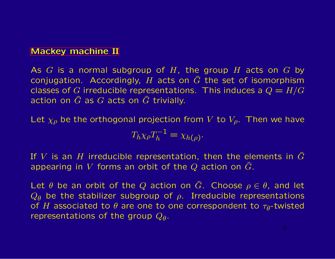#### [Mackey machine II](#page-18-0)

As  $G$  is a normal subgroup of  $H$ , the group  $H$  acts on  $G$  by conjugation. Accordingly, H acts on  $\hat{G}$  the set of isomorphism classes of G irreducible representations. This induces a  $Q = H/G$ action on  $\hat{G}$  as  $G$  acts on  $\hat{G}$  trivially.

Let  $\chi_{\rho}$  be the orthogonal projection from V to  $V_{\rho}$ . Then we have

$$
T_h \chi_{\rho} T_h^{-1} = \chi_{h(\rho)}.
$$

If V is an H irreducible representation, then the elements in  $\tilde{G}$ appearing in V forms an orbit of the Q action on  $\tilde{G}$ .

Let  $\theta$  be an orbit of the Q action on  $\widehat{G}$ . Choose  $\rho \in \theta$ , and let  $Q_{\theta}$  be the stabilizer subgroup of  $\rho$ . Irreducible representations of H associated to  $\theta$  are one to one correspondent to  $\tau_{\theta}$ -twisted representations of the group  $Q_{\theta}$ .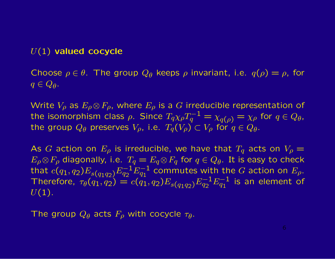# $U(1)$  valued cocycle

Choose  $\rho \in \theta$ . The group  $Q_{\theta}$  keeps  $\rho$  invariant, i.e.  $q(\rho) = \rho$ , for  $q \in Q_{\theta}$ .

Write  $V_{\rho}$  as  $E_{\rho} \otimes F_{\rho}$ , where  $E_{\rho}$  is a G irreducible representation of the isomorphism class  $\rho$ . Since  $T_q \chi_\rho T_q^{-1} = \chi_{q(\rho)} = \chi_\rho$  for  $q \in Q_\theta$ , the group  $Q_{\theta}$  preserves  $V_{\rho}$ , i.e.  $T_q(V_{\rho}) \subset V_{\rho}$  for  $q \in Q_{\theta}$ .

As G action on  $E_{\rho}$  is irreducible, we have that  $T_q$  acts on  $V_{\rho} =$  $E_{\rho}\otimes F_{\rho}$  diagonally, i.e.  $T_q=E_q\otimes F_q$  for  $q\in Q_\theta$ . It is easy to check that  $c(q_1, q_2) E_{s(q_1q_2)} E_{q_2}^{-1} E_{q_1}^{-1}$  commutes with the G action on  $E_\rho$ . Therefore,  $\tau_{\theta}(q_1, q_2) = c(q_1, q_2) E_{s(q_1q_2)} E_{q_2}^{-1} E_{q_1}^{-1}$  is an element of  $U(1)$ .

The group  $Q_{\theta}$  acts  $F_{\rho}$  with cocycle  $\tau_{\theta}$ .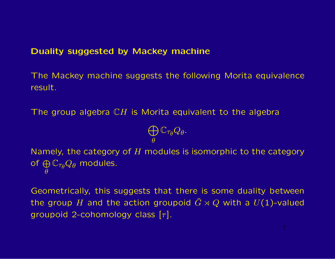# Duality suggested by Mackey machine

The Mackey machine suggests the following Morita equivalence result.

The group algebra  $CH$  is Morita equivalent to the algebra

$$
\bigoplus_\theta \mathbb{C}_{\tau_\theta} Q_\theta.
$$

Namely, the category of  $H$  modules is isomorphic to the category of  $\oplus$  $\theta$  $\mathbb{C}_{\tau_{\theta}}Q_{\theta}$  modules.

Geometrically, this suggests that there is some duality between the group H and the action groupoid  $\hat{G} \rtimes Q$  with a  $U(1)$ -valued groupoid 2-cohomology class  $[\tau]$ .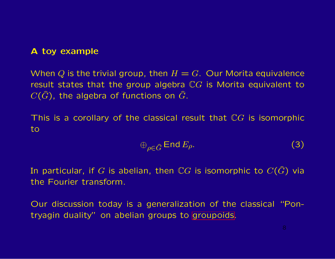# A toy example

When Q is the trivial group, then  $H = G$ . Our Morita equivalence result states that the group algebra  $\mathbb{C}G$  is Morita equivalent to  $C(\widehat{G})$ , the algebra of functions on  $\widehat{G}$ .

This is a corollary of the classical result that  $\mathbb{C}G$  is isomorphic to

$$
\oplus_{\rho \in \widehat{G}} \operatorname{End} E_{\rho}.\tag{3}
$$

In particular, if G is abelian, then  $\mathbb {C}G$  is isomorphic to  $C(\widehat{G})$  via the Fourier transform.

Our discussion today is a generalization of the classical "Pontryagin duality" on abelian groups to [groupoids.](#page-0-0)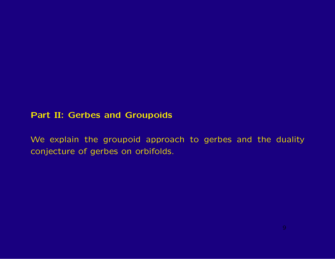# Part II: Gerbes and Groupoids

We explain the groupoid approach to gerbes and the duality conjecture of gerbes on orbifolds.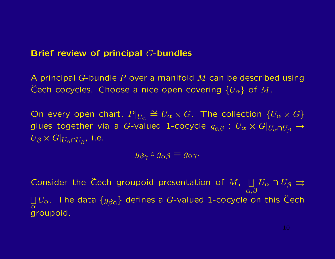#### Brief review of principal G-bundles

A principal G-bundle  $P$  over a manifold  $M$  can be described using Cech cocycles. Choose a nice open covering  $\{U_{\alpha}\}\;$  of M.

On every open chart,  $P|_{U_{\alpha}} \cong U_{\alpha} \times G$ . The collection  $\{U_{\alpha} \times G\}$ glues together via a  $G$ -valued 1-cocycle  $g_{\alpha\beta}: \ U_{\alpha}\times G|_{U_{\alpha}\cap U_{\beta}}\to 0$  $U_{\beta} \times G|_{U_{\alpha} \cap U_{\beta}}$ , i.e.

$$
g_{\beta\gamma} \circ g_{\alpha\beta} = g_{\alpha\gamma}.
$$

Consider the Čech groupoid presentation of  $M$ ,  $\Box_g U_\alpha \cap U_\beta \rightrightarrows$  $\alpha,\!\beta$  $\overline{1}$  $\bigsqcup \limits_\alpha U_\alpha.$  The data  $\{ g_{\beta\alpha} \}$  defines a  $G$ -valued 1-cocycle on this Čech groupoid.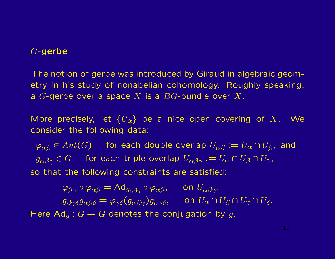# G-gerbe

The notion of gerbe was introduced by Giraud in algebraic geometry in his study of nonabelian cohomology. Roughly speaking, a  $G$ -gerbe over a space  $X$  is a  $BG$ -bundle over  $X$ .

More precisely, let  ${U_\alpha}$  be a nice open covering of X. We consider the following data:

 $\varphi_{\alpha\beta} \in Aut(G)$  for each double overlap  $U_{\alpha\beta} := U_{\alpha} \cap U_{\beta}$ , and  $g_{\alpha\beta\gamma} \in G$  for each triple overlap  $U_{\alpha\beta\gamma} := U_{\alpha} \cap U_{\beta} \cap U_{\gamma}$ , so that the following constraints are satisfied:

 $\varphi_{\beta\gamma} \circ \varphi_{\alpha\beta} = \text{Ad}_{g_{\alpha\beta\gamma}} \circ \varphi_{\alpha\beta}, \quad \text{on } U_{\alpha\beta\gamma},$  $g_{\beta\gamma\delta}g_{\alpha\beta\delta} = \varphi_{\gamma\delta}(g_{\alpha\beta\gamma})g_{\alpha\gamma\delta}$ , on  $U_{\alpha} \cap U_{\beta} \cap U_{\gamma} \cap U_{\delta}$ . Here  $Ad<sub>q</sub>$ :  $G \rightarrow G$  denotes the conjugation by g.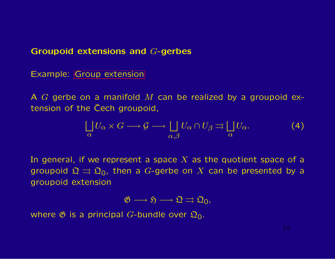#### Groupoid extensions and G-gerbes

Example: [Group extension](#page-3-0)

A  $G$  gerbe on a manifold  $M$  can be realized by a groupoid extension of the Cech groupoid,

<span id="page-12-0"></span>
$$
\bigsqcup_{\alpha} U_{\alpha} \times G \longrightarrow \mathcal{G} \longrightarrow \bigsqcup_{\alpha, \beta} U_{\alpha} \cap U_{\beta} \rightrightarrows \bigsqcup_{\alpha} U_{\alpha}.
$$
 (4)

In general, if we represent a space  $X$  as the quotient space of a groupoid  $\mathfrak{Q} \rightrightarrows \mathfrak{Q}_0$ , then a G-gerbe on X can be presented by a groupoid extension

$$
\mathfrak{G}\longrightarrow \mathfrak{H}\longrightarrow \mathfrak{Q}\rightrightarrows \mathfrak{Q}_0,
$$

where  $\mathfrak G$  is a principal G-bundle over  $\mathfrak Q_0$ .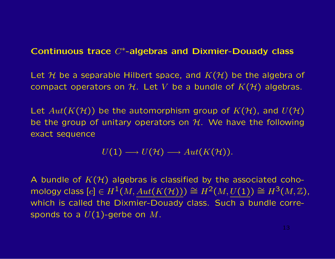# Continuous trace C∗-algebras and Dixmier-Douady class

Let H be a separable Hilbert space, and  $K(\mathcal{H})$  be the algebra of compact operators on H. Let V be a bundle of  $K(\mathcal{H})$  algebras.

Let  $Aut(K(\mathcal{H}))$  be the automorphism group of  $K(\mathcal{H})$ , and  $U(\mathcal{H})$ be the group of unitary operators on  $H$ . We have the following exact sequence

$$
U(1) \longrightarrow U(\mathcal{H}) \longrightarrow Aut(K(\mathcal{H})).
$$

A bundle of  $K(\mathcal{H})$  algebras is classified by the associated cohomology class  $[c] \in H^1(M, \text{Aut}(K(\mathcal{H}))) \cong H^2(M, \underline{U(1)}) \cong H^3(M, \mathbb{Z}),$ which is called the Dixmier-Douady class. Such a bundle corresponds to a  $U(1)$ -gerbe on  $M$ .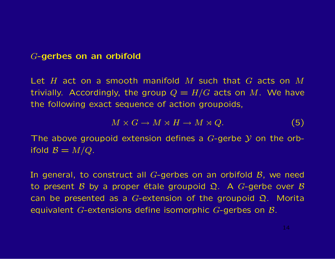#### G-gerbes on an orbifold

Let H act on a smooth manifold M such that G acts on M trivially. Accordingly, the group  $Q = H/G$  acts on M. We have the following exact sequence of action groupoids,

$$
M \times G \to M \times H \to M \times Q. \tag{5}
$$

The above groupoid extension defines a  $G$ -gerbe  $Y$  on the orbifold  $\mathcal{B}=M/Q$ .

In general, to construct all  $G$ -gerbes on an orbifold  $B$ , we need to present B by a proper étale groupoid  $\Omega$ . A G-gerbe over B can be presented as a G-extension of the groupoid  $\Omega$ . Morita equivalent G-extensions define isomorphic G-gerbes on  $\mathcal{B}$ .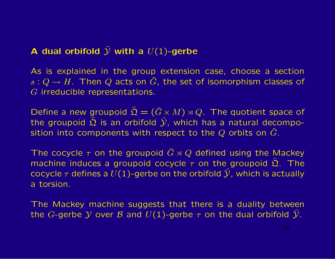# A dual orbifold  $\widehat{\mathcal{Y}}$  with a  $U(1)$ -gerbe

As is explained in the group extension case, choose a section  $s: Q \to H$ . Then Q acts on  $\widehat{G}$ , the set of isomorphism classes of G irreducible representations.

Define a new groupoid  $\hat{\mathfrak{Q}} = (\hat{G} \times M) \rtimes Q$ . The quotient space of the groupoid  $\hat{\Omega}$  is an orbifold  $\hat{\mathcal{Y}}$ , which has a natural decomposition into components with respect to the Q orbits on  $\widehat{G}$ .

The cocycle  $\tau$  on the groupoid  $\hat{G} \rtimes Q$  defined using the Mackey machine induces a groupoid cocycle  $\tau$  on the groupoid  $\hat{\Omega}$ . The cocycle  $\tau$  defines a  $U(1)$ -gerbe on the orbifold  $\hat{Y}$ , which is actually a torsion.

The Mackey machine suggests that there is a duality between the G-gerbe Y over B and  $U(1)$ -gerbe  $\tau$  on the dual orbifold  $\hat{Y}$ .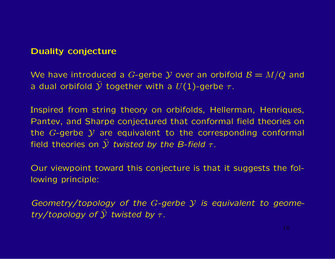# Duality conjecture

We have introduced a G-gerbe Y over an orbifold  $\mathcal{B} = M/Q$  and a dual orbifold  $\widehat{\mathcal{Y}}$  together with a  $U(1)$ -gerbe  $\tau$ .

Inspired from string theory on orbifolds, Hellerman, Henriques, Pantev, and Sharpe conjectured that conformal field theories on the  $G$ -gerbe  $Y$  are equivalent to the corresponding conformal field theories on  $\widehat{y}$  *twisted by the B-field*  $\tau$ *.* 

Our viewpoint toward this conjecture is that it suggests the following principle:

*Geometry/topology of the* G*-gerbe* Y *is equivalent to geometry/topology of*  $\hat{y}$  *twisted by*  $\tau$ *.*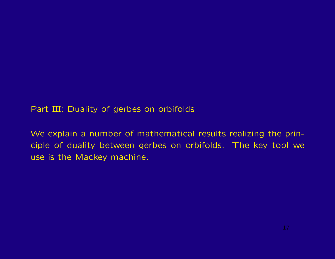Part III: Duality of gerbes on orbifolds

We explain a number of mathematical results realizing the principle of duality between gerbes on orbifolds. The key tool we use is the Mackey machine.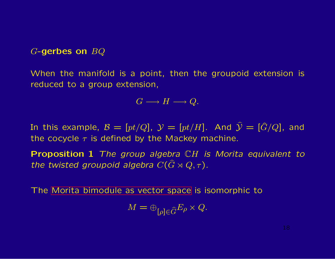G-gerbes on BQ

When the manifold is a point, then the groupoid extension is reduced to a group extension,

$$
G\longrightarrow H\longrightarrow Q.
$$

In this example,  $\mathcal{B} = [pt/Q], \mathcal{Y} = [pt/H].$  And  $\hat{\mathcal{Y}} = [\hat{G}/Q],$  and the cocycle  $\tau$  is defined by the Mackey machine.

<span id="page-18-0"></span>Proposition 1 *The group algebra* CH *is Morita equivalent to the twisted groupoid algebra*  $C(\widehat{G} \rtimes Q, \tau)$ .

The [Morita bimodule as vector space](#page-4-0) is isomorphic to

$$
M = \oplus_{[\rho] \in \widehat{G}} E_{\rho} \times Q.
$$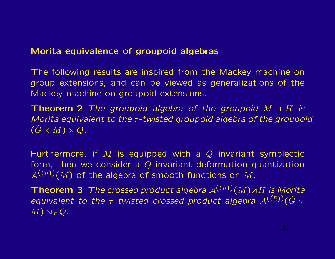# Morita equivalence of groupoid algebras

The following results are inspired from the Mackey machine on group extensions, and can be viewed as generalizations of the Mackey machine on groupoid extensions.

<span id="page-19-0"></span>**Theorem 2** The groupoid algebra of the groupoid  $M \rtimes H$  is *Morita equivalent to the* τ*-twisted groupoid algebra of the groupoid*  $(\widehat{G} \times M) \rtimes Q$ .

Furthermore, if M is equipped with a  $Q$  invariant symplectic form, then we consider a  $Q$  invariant deformation quantization  $\mathcal{A}^{((\hbar))}(M)$  of the algebra of smooth functions on M.

**Theorem 3** *The crossed product algebra*  $\mathcal{A}^{((\hbar))}(M) \rtimes H$  *is Morita equivalent to the* τ *twisted crossed product algebra*  $\mathcal{A}^{((\hbar))}(\hat{G} \times$  $M$ )  $\rtimes_{\tau} Q$ .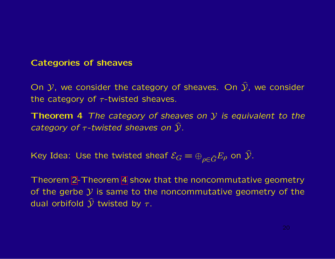# Categories of sheaves

On  $Y$ , we consider the category of sheaves. On  $\hat{Y}$ , we consider the category of  $\tau$ -twisted sheaves.

<span id="page-20-0"></span>Theorem 4 *The category of sheaves on* Y *is equivalent to the category of*  $\tau$ *-twisted sheaves on*  $\hat{y}$ *.* 

Key Idea: Use the twisted sheaf  $\mathcal{E}_G = \oplus_{\rho \in \widehat{G}} E_{\rho}$  on  $\widehat{\mathcal{Y}}$ .

Theorem [2-](#page-19-0)Theorem [4](#page-20-0) show that the noncommutative geometry of the gerbe  $\mathcal Y$  is same to the noncommutative geometry of the dual orbifold  $\hat{y}$  twisted by  $\tau$ .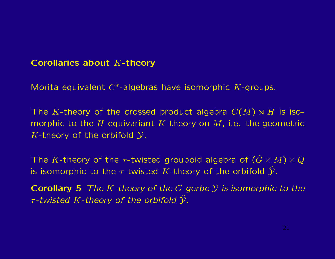# Corollaries about K-theory

Morita equivalent  $C^*$ -algebras have isomorphic  $K$ -groups.

The K-theory of the crossed product algebra  $C(M) \rtimes H$  is isomorphic to the H-equivariant K-theory on  $M$ , i.e. the geometric K-theory of the orbifold  $\mathcal{Y}$ .

The K-theory of the  $\tau$ -twisted groupoid algebra of  $(\tilde{G} \times M) \rtimes Q$ is isomorphic to the  $\tau$ -twisted K-theory of the orbifold  $\hat{y}$ .

Corollary 5 *The* K*-theory of the* G*-gerbe* Y *is isomorphic to the* τ*-twisted* K*-theory of the orbifold* Y%*.*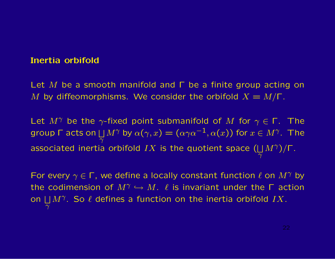# Inertia orbifold

Let M be a smooth manifold and  $\Gamma$  be a finite group acting on M by diffeomorphisms. We consider the orbifold  $X = M/\Gamma$ .

Let  $M^{\gamma}$  be the  $\gamma$ -fixed point submanifold of M for  $\gamma \in \Gamma$ . The group Γ acts on  $\Box$  $\overline{\overline{\gamma}}$  $M^{\gamma}$  by  $\alpha(\gamma,x)=(\alpha\gamma\alpha^{-1},\alpha(x))$  for  $x\in M^{\gamma}.$  The associated inertia orbifold  $IX$  is the quotient space ( $\Box$  $\overline{\overline{\gamma}}$  $M^{\gamma})/\Gamma$ .

For every  $\gamma \in \Gamma$ , we define a locally constant function  $\ell$  on  $M^{\gamma}$  by the codimension of  $M^{\gamma} \hookrightarrow M$ .  $\ell$  is invariant under the  $\Gamma$  action on  $\Box$  $\overline{\overline{\gamma}}$  $M^{\gamma}$ . So  $\ell$  defines a function on the inertia orbifold  $IX$ .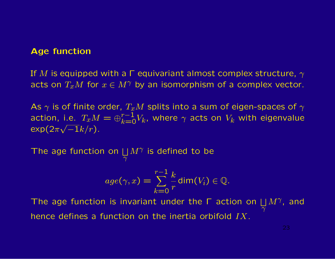#### Age function

If M is equipped with a  $\Gamma$  equivariant almost complex structure,  $\gamma$ acts on  $T_xM$  for  $x \in M^{\gamma}$  by an isomorphism of a complex vector.

As  $\gamma$  is of finite order,  $T_xM$  splits into a sum of eigen-spaces of  $\gamma$ action, i.e.  $T_x M = \oplus_{k=0}^{r-1} V_k$ , where  $\gamma$  acts on  $V_k$  with eigenvalue  $\exp(2\pi\sqrt{-1}k/r)$ .

The age function on  $\Box$  $\overline{\gamma}$  $M^{\gamma}$  is defined to be

$$
age(\gamma, x) = \sum_{k=0}^{r-1} \frac{k}{r} \dim(V_i) \in \mathbb{Q}.
$$

The age function is invariant under the  $\Gamma$  action on  $\Box$  $\overline{\overline{\gamma}}$  $M^{\gamma}$ , and hence defines a function on the inertia orbifold IX.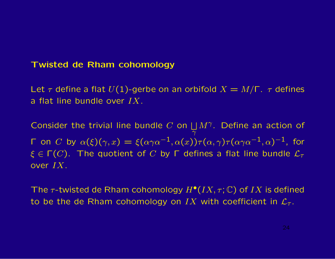#### Twisted de Rham cohomology

Let  $\tau$  define a flat  $U(1)$ -gerbe on an orbifold  $X = M/\Gamma$ .  $\tau$  defines a flat line bundle over  $IX$ .

Consider the trivial line bundle  $C$  on  $\Box$  $\overline{\gamma}$  $M^{\gamma}$ . Define an action of Γ on  $C$  by  $\alpha(\xi)(\gamma, x) = \xi(\alpha\gamma\alpha^{-1}, \alpha(x))\tau(\alpha, \gamma)\tau(\alpha\gamma\alpha^{-1}, \alpha)^{-1}$ , for  $\xi \in \Gamma(C)$ . The quotient of C by  $\Gamma$  defines a flat line bundle  $\mathcal{L}_{\tau}$ over IX.

The  $\tau$ -twisted de Rham cohomology  $H^{\bullet}(IX, \tau; \mathbb{C})$  of  $IX$  is defined to be the de Rham cohomology on IX with coefficient in  $\mathcal{L}_{\tau}$ .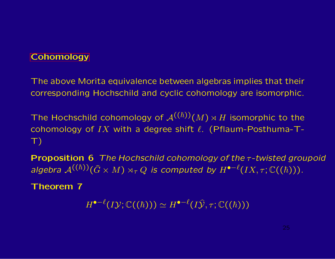# **[Cohomology](#page-29-0)**

The above Morita equivalence between algebras implies that their corresponding Hochschild and cyclic cohomology are isomorphic.

The Hochschild cohomology of  $\mathcal{A}^{((\hbar))}(M) \rtimes H$  isomorphic to the cohomology of IX with a degree shift  $\ell$ . (Pflaum-Posthuma-T- $\top$ 

Proposition 6 *The Hochschild cohomology of the* τ*-twisted groupoid algebra*  $\mathcal{A}^{((\hbar))}(\hat{G} \times M) \rtimes_{\tau} Q$  *is computed by*  $H^{\bullet-\ell}(IX, \tau; \mathbb{C}((\hbar)))$ *.* 

<span id="page-25-0"></span>Theorem 7

 $H^{\bullet-\ell}(I\mathcal{Y}; \mathbb{C}((\hbar))) \simeq H^{\bullet-\ell}(I\widehat{\mathcal{Y}}, \tau; \mathbb{C}((\hbar)))$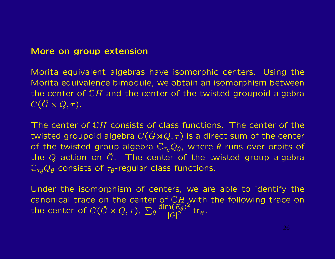#### More on group extension

Morita equivalent algebras have isomorphic centers. Using the Morita equivalence bimodule, we obtain an isomorphism between the center of  $\mathbb{C}H$  and the center of the twisted groupoid algebra  $C(\widehat{G}\rtimes Q,\tau).$ 

The center of CH consists of class functions. The center of the twisted groupoid algebra  $C(\widehat{G}\rtimes Q, \tau)$  is a direct sum of the center of the twisted group algebra  $\mathbb{C}_{\tau_{\theta}}Q_{\theta}$ , where  $\theta$  runs over orbits of the Q action on  $\hat{G}$ . The center of the twisted group algebra  $\mathbb{C}_{\tau_{\theta}}Q_{\theta}$  consists of  $\tau_{\theta}$ -regular class functions.

Under the isomorphism of centers, we are able to identify the canonical trace on the center of  $\mathbb{C}H$  with the following trace on the center of  $C(\widehat{G}\rtimes Q, \tau)$ ,  $\sum_{\theta}$  $\dim(\widetilde{E_{\theta}})^2$  $\frac{\ln(E_\theta)^2}{|G|^2}$ tr $_\theta$ .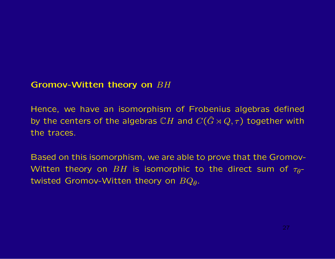# Gromov-Witten theory on BH

Hence, we have an isomorphism of Frobenius algebras defined by the centers of the algebras CH and  $C(\widehat{G} \rtimes Q, \tau)$  together with the traces.

Based on this isomorphism, we are able to prove that the Gromov-Witten theory on  $BH$  is isomorphic to the direct sum of  $\tau_{\theta}$ twisted Gromov-Witten theory on  $BQ_{\theta}$ .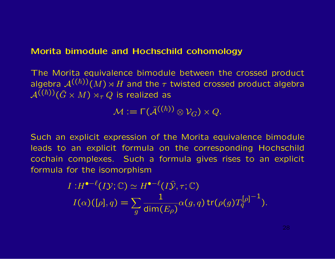#### Morita bimodule and Hochschild cohomology

The Morita equivalence bimodule between the crossed product algebra  $\mathcal{A}^{((\hbar))}(M) \rtimes H$  and the  $\tau$  twisted crossed product algebra  $\mathcal{A}^{(\overline{(h)})}(\overline{G}\times M)\rtimes_{\tau}Q$  is realized as

 $\mathcal{M} := \Gamma(\widetilde{\mathcal{A}}^{((\hbar))} \otimes \mathcal{V}_{G}) \times Q.$ 

Such an explicit expression of the Morita equivalence bimodule leads to an explicit formula on the corresponding Hochschild cochain complexes. Such a formula gives rises to an explicit formula for the isomorphism

$$
I: H^{\bullet - \ell}(I\mathcal{Y}; \mathbb{C}) \simeq H^{\bullet - \ell}(I\widehat{\mathcal{Y}}, \tau; \mathbb{C})
$$
  

$$
I(\alpha)([\rho], q) = \sum_{g} \frac{1}{\dim(E_{\rho})} \alpha(g, q) \operatorname{tr}(\rho(g) T_q^{[\rho] - 1}).
$$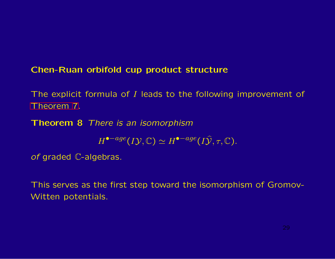# Chen-Ruan orbifold cup product structure

The explicit formula of I leads to the following improvement of [Theorem 7.](#page-25-0)

<span id="page-29-0"></span>Theorem 8 *There is an isomorphism*

 $H^{\bullet -age}(I\mathcal{Y}, \mathbb{C}) \simeq H^{\bullet -age}(I\hat{\mathcal{Y}}, \tau, \mathbb{C}).$ 

*of* graded C-algebras*.*

This serves as the first step toward the isomorphism of Gromov-Witten potentials.